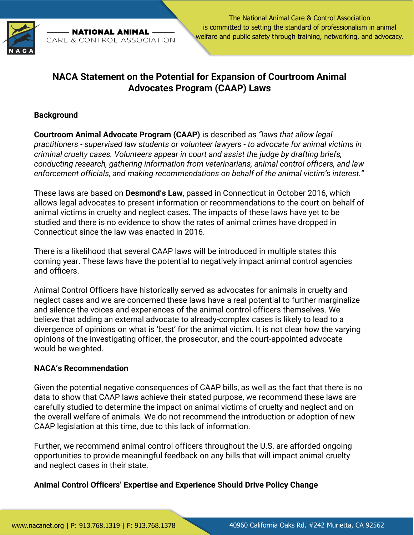

The National Animal Care & Control Association is committed to setting the standard of professionalism in animal **NATIONAL ANIMAL** welfare and public safety through training, networking, and advocacy. CARE & CONTROL ASSOCIATION

## **NACA Statement on the Potential for Expansion of Courtroom Animal Advocates Program (CAAP) Laws**

## **Background**

**Courtroom Animal Advocate Program (CAAP)** is described as *"laws that allow legal practitioners - supervised law students or volunteer lawyers - to advocate for animal victims in criminal cruelty cases. Volunteers appear in court and assist the judge by drafting briefs, conducting research, gathering information from veterinarians, animal control officers, and law enforcement officials, and making recommendations on behalf of the animal victim's interest."*

These laws are based on **Desmond's Law**, passed in Connecticut in October 2016, which allows legal advocates to present information or recommendations to the court on behalf of animal victims in cruelty and neglect cases. The impacts of these laws have yet to be studied and there is no evidence to show the rates of animal crimes have dropped in Connecticut since the law was enacted in 2016.

There is a likelihood that several CAAP laws will be introduced in multiple states this coming year. These laws have the potential to negatively impact animal control agencies and officers.

Animal Control Officers have historically served as advocates for animals in cruelty and neglect cases and we are concerned these laws have a real potential to further marginalize and silence the voices and experiences of the animal control officers themselves. We believe that adding an external advocate to already-complex cases is likely to lead to a divergence of opinions on what is 'best' for the animal victim. It is not clear how the varying opinions of the investigating officer, the prosecutor, and the court-appointed advocate would be weighted.

## **NACA's Recommendation**

Given the potential negative consequences of CAAP bills, as well as the fact that there is no data to show that CAAP laws achieve their stated purpose, we recommend these laws are carefully studied to determine the impact on animal victims of cruelty and neglect and on the overall welfare of animals. We do not recommend the introduction or adoption of new CAAP legislation at this time, due to this lack of information.

Further, we recommend animal control officers throughout the U.S. are afforded ongoing opportunities to provide meaningful feedback on any bills that will impact animal cruelty and neglect cases in their state.

**Animal Control Officers' Expertise and Experience Should Drive Policy Change**